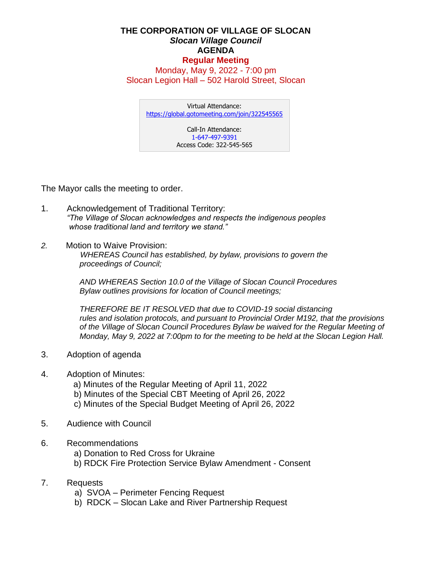## **THE CORPORATION OF VILLAGE OF SLOCAN** *Slocan Village Council*  **AGENDA Regular Meeting**

Monday, May 9, 2022 - 7:00 pm Slocan Legion Hall – 502 Harold Street, Slocan

Virtual Attendance: <https://global.gotomeeting.com/join/322545565> Call-In Attendance:

1-647-497-9391 Access Code: 322-545-565

The Mayor calls the meeting to order.

- 1. Acknowledgement of Traditional Territory: *"The Village of Slocan acknowledges and respects the indigenous peoples whose traditional land and territory we stand."*
- *2.* Motion to Waive Provision:  *WHEREAS Council has established, by bylaw, provisions to govern the proceedings of Council;*

*AND WHEREAS Section 10.0 of the Village of Slocan Council Procedures Bylaw outlines provisions for location of Council meetings;*

*THEREFORE BE IT RESOLVED that due to COVID-19 social distancing rules and isolation protocols, and pursuant to Provincial Order M192, that the provisions of the Village of Slocan Council Procedures Bylaw be waived for the Regular Meeting of Monday, May 9, 2022 at 7:00pm to for the meeting to be held at the Slocan Legion Hall.*

- 3. Adoption of agenda
- 4. Adoption of Minutes:
	- a) Minutes of the Regular Meeting of April 11, 2022
	- b) Minutes of the Special CBT Meeting of April 26, 2022
	- c) Minutes of the Special Budget Meeting of April 26, 2022
- 5. Audience with Council
- 6. Recommendations
	- a) Donation to Red Cross for Ukraine
	- b) RDCK Fire Protection Service Bylaw Amendment Consent
- 7. Requests
	- a) SVOA Perimeter Fencing Request
	- b) RDCK Slocan Lake and River Partnership Request